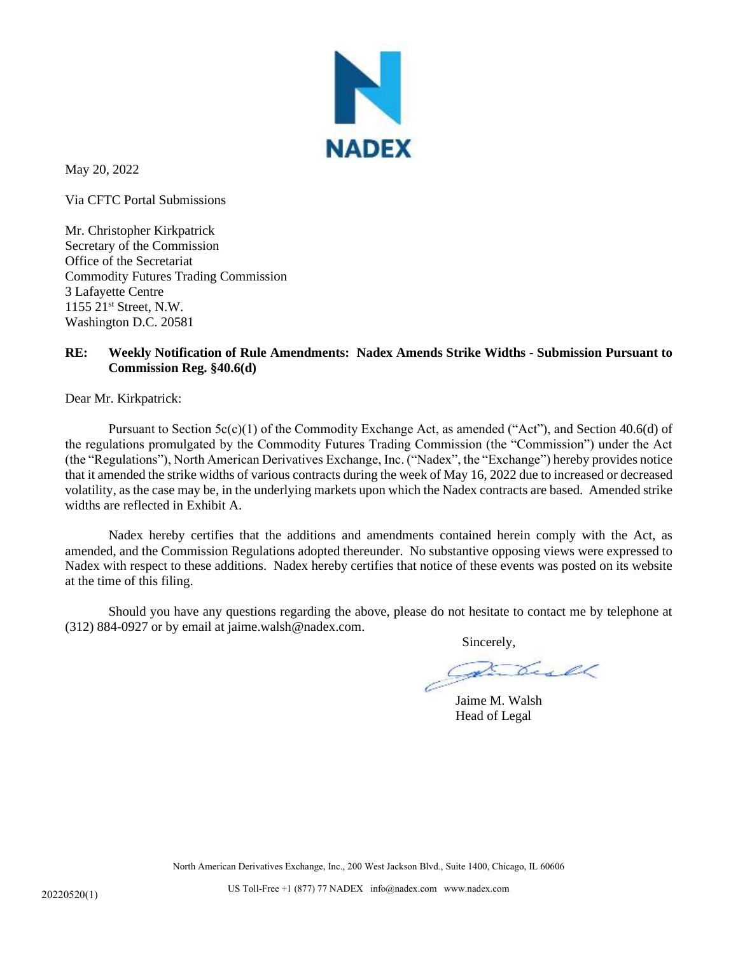

May 20, 2022

Via CFTC Portal Submissions

Mr. Christopher Kirkpatrick Secretary of the Commission Office of the Secretariat Commodity Futures Trading Commission 3 Lafayette Centre 1155 21st Street, N.W. Washington D.C. 20581

## **RE: Weekly Notification of Rule Amendments: Nadex Amends Strike Widths - Submission Pursuant to Commission Reg. §40.6(d)**

Dear Mr. Kirkpatrick:

Pursuant to Section  $5c(c)(1)$  of the Commodity Exchange Act, as amended ("Act"), and Section 40.6(d) of the regulations promulgated by the Commodity Futures Trading Commission (the "Commission") under the Act (the "Regulations"), North American Derivatives Exchange, Inc. ("Nadex", the "Exchange") hereby provides notice that it amended the strike widths of various contracts during the week of May 16, 2022 due to increased or decreased volatility, as the case may be, in the underlying markets upon which the Nadex contracts are based. Amended strike widths are reflected in Exhibit A.

Nadex hereby certifies that the additions and amendments contained herein comply with the Act, as amended, and the Commission Regulations adopted thereunder. No substantive opposing views were expressed to Nadex with respect to these additions. Nadex hereby certifies that notice of these events was posted on its website at the time of this filing.

Should you have any questions regarding the above, please do not hesitate to contact me by telephone at (312) 884-0927 or by email at jaime.walsh@nadex.com.

Sincerely,

Jaime M. Walsh Head of Legal